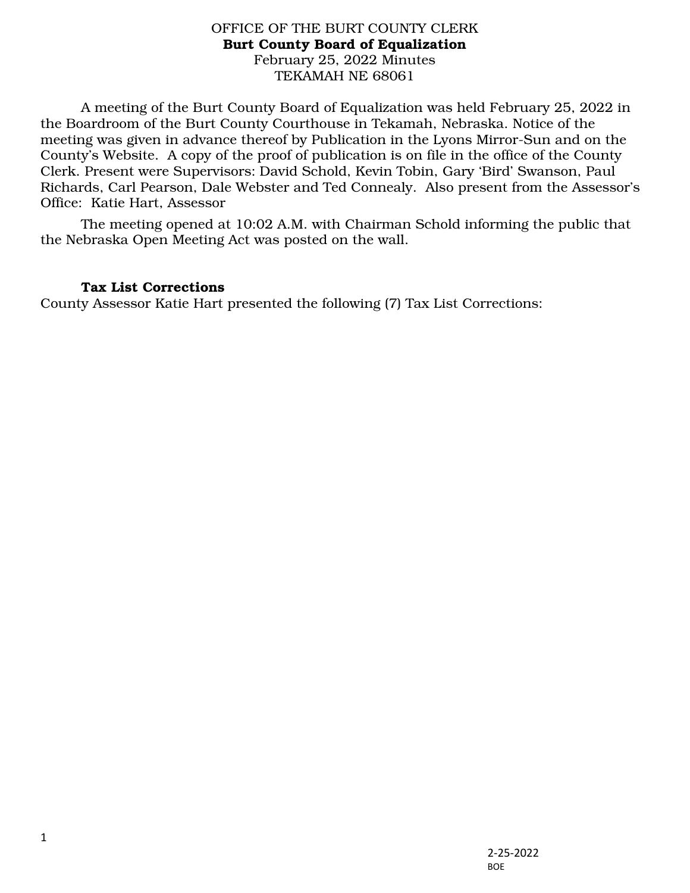## OFFICE OF THE BURT COUNTY CLERK Burt County Board of Equalization February 25, 2022 Minutes TEKAMAH NE 68061

A meeting of the Burt County Board of Equalization was held February 25, 2022 in the Boardroom of the Burt County Courthouse in Tekamah, Nebraska. Notice of the meeting was given in advance thereof by Publication in the Lyons Mirror-Sun and on the County's Website. A copy of the proof of publication is on file in the office of the County Clerk. Present were Supervisors: David Schold, Kevin Tobin, Gary 'Bird' Swanson, Paul Richards, Carl Pearson, Dale Webster and Ted Connealy. Also present from the Assessor's Office: Katie Hart, Assessor

The meeting opened at 10:02 A.M. with Chairman Schold informing the public that the Nebraska Open Meeting Act was posted on the wall.

## Tax List Corrections

County Assessor Katie Hart presented the following (7) Tax List Corrections: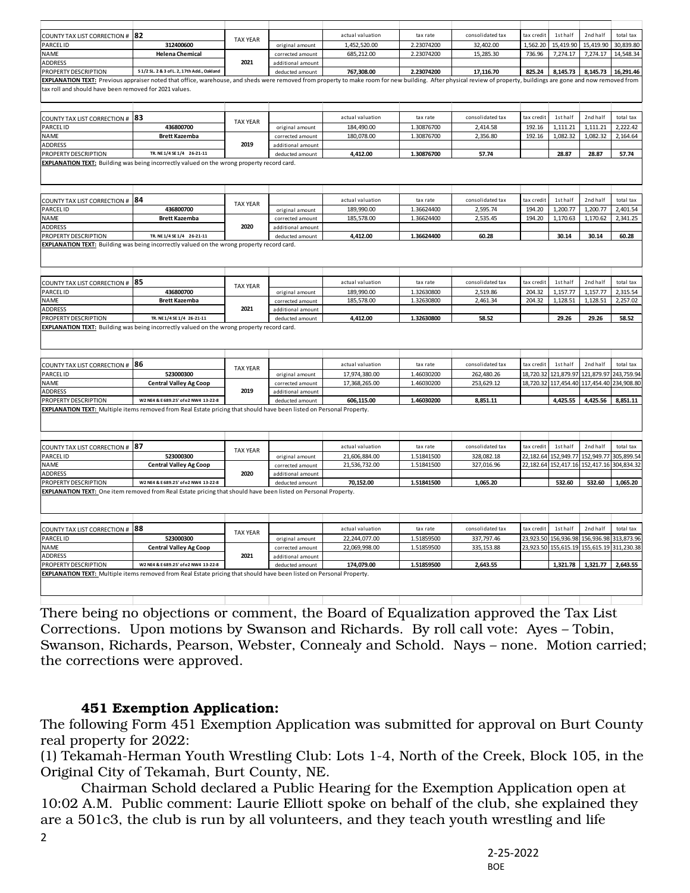| <b>COUNTY TAX LIST CORRECTION #</b>                    | 82                                                                                                                                                                                                                | <b>TAX YEAR</b> |                                      | actual valuation               | tax rate   | consolidated tax         | tax credit             | 1st half                 | 2nd half              | total tax                                      |
|--------------------------------------------------------|-------------------------------------------------------------------------------------------------------------------------------------------------------------------------------------------------------------------|-----------------|--------------------------------------|--------------------------------|------------|--------------------------|------------------------|--------------------------|-----------------------|------------------------------------------------|
| <b>PARCEL ID</b>                                       | 312400600                                                                                                                                                                                                         |                 | original amount                      | 1,452,520.00                   | 2.23074200 | 32.402.00                | 1,562.20               | 15,419.90                | 15,419.90             | 30,839.80                                      |
| <b>NAME</b>                                            | <b>Helena Chemical</b>                                                                                                                                                                                            |                 | corrected amount                     | 685,212.00                     | 2.23074200 | 15,285.30                | 736.96                 | 7,274.17                 | 7,274.17              | 14,548.34                                      |
| <b>ADDRESS</b>                                         |                                                                                                                                                                                                                   | 2021            | additional amount                    |                                |            |                          |                        |                          |                       |                                                |
| PROPERTY DESCRIPTION                                   | S 1/2 SL. 2 & 3 of L. 2, 17th Add., Oakland                                                                                                                                                                       |                 | deducted amount                      | 767.308.00                     | 2.23074200 | 17.116.70                | 825.24                 | 8,145.73                 | 8.145.73              | 16,291.46                                      |
| tax roll and should have been removed for 2021 values. | EXPLANATION TEXT: Previous appraiser noted that office, warehouse, and sheds were removed from property to make room for new building. After physical review of property, buildings are gone and now removed from |                 |                                      |                                |            |                          |                        |                          |                       |                                                |
| COUNTY TAX LIST CORRECTION # 83                        |                                                                                                                                                                                                                   |                 |                                      | actual valuation               | tax rate   | consolidated tax         | tax credit             | 1st half                 | 2nd half              | total tax                                      |
| <b>PARCELID</b>                                        | 436800700                                                                                                                                                                                                         | <b>TAX YEAR</b> | original amount                      | 184,490.00                     | 1.30876700 | 2,414.58                 | 192.16                 | 1,111.21                 | 1,111.21              | 2,222.42                                       |
| <b>NAME</b>                                            | <b>Brett Kazemba</b>                                                                                                                                                                                              |                 | corrected amount                     | 180,078.00                     | 1.30876700 | 2,356.80                 | 192.16                 | 1,082.32                 | 1,082.32              | 2,164.64                                       |
| <b>ADDRESS</b>                                         |                                                                                                                                                                                                                   | 2019            | additional amount                    |                                |            |                          |                        |                          |                       |                                                |
| PROPERTY DESCRIPTION                                   | TR. NE 1/4 SE 1/4 26-21-11                                                                                                                                                                                        |                 | deducted amount                      | 4,412.00                       | 1.30876700 | 57.74                    |                        | 28.87                    | 28.87                 | 57.74                                          |
|                                                        | <b>EXPLANATION TEXT:</b> Building was being incorrectly valued on the wrong property record card.                                                                                                                 |                 |                                      |                                |            |                          |                        |                          |                       |                                                |
| COUNTY TAX LIST CORRECTION # 84                        |                                                                                                                                                                                                                   |                 |                                      | actual valuation               | tax rate   | consolidated tax         | tax credit             | 1st half                 | 2nd half              | total tax                                      |
| PARCEL ID                                              | 436800700                                                                                                                                                                                                         | <b>TAX YEAR</b> | original amount                      | 189,990.00                     | 1.36624400 | 2,595.74                 | 194.20                 | 1,200.77                 | 1,200.77              | 2,401.54                                       |
| <b>NAME</b>                                            | <b>Brett Kazemba</b>                                                                                                                                                                                              |                 | corrected amount                     | 185,578.00                     | 1.36624400 | 2,535.45                 | 194.20                 | 1,170.63                 | 1,170.62              | 2,341.25                                       |
| <b>ADDRESS</b>                                         |                                                                                                                                                                                                                   | 2020            | additional amount                    |                                |            |                          |                        |                          |                       |                                                |
| PROPERTY DESCRIPTION                                   | TR. NE 1/4 SE 1/4 26-21-11                                                                                                                                                                                        |                 | deducted amount                      | 4,412.00                       | 1.36624400 | 60.28                    |                        | 30.14                    | 30.14                 | 60.28                                          |
|                                                        | <b>EXPLANATION TEXT:</b> Building was being incorrectly valued on the wrong property record card.                                                                                                                 |                 |                                      |                                |            |                          |                        |                          |                       |                                                |
| <b>COUNTY TAX LIST CORRECTION #</b>                    | 85                                                                                                                                                                                                                |                 |                                      | actual valuation               | tax rate   | consolidated tax         | tax credit             | 1st half                 | 2nd half              | total tax                                      |
| <b>PARCEL ID</b>                                       | 436800700                                                                                                                                                                                                         | <b>TAX YEAR</b> | original amount                      | 189,990.00                     | 1.32630800 | 2,519.86                 | 204.32                 | 1,157.77                 | 1,157.77              | 2,315.54                                       |
| <b>NAME</b>                                            | <b>Brett Kazemba</b>                                                                                                                                                                                              |                 | corrected amount                     | 185,578.00                     | 1.32630800 | 2,461.34                 | 204.32                 | 1,128.51                 | 1,128.51              | 2,257.02                                       |
| <b>ADDRESS</b>                                         |                                                                                                                                                                                                                   | 2021            | additional amount                    |                                |            |                          |                        |                          |                       |                                                |
|                                                        |                                                                                                                                                                                                                   |                 |                                      |                                |            |                          |                        |                          |                       |                                                |
| PROPERTY DESCRIPTION                                   | TR. NE1/4 SE1/4 26-21-11                                                                                                                                                                                          |                 | deducted amount                      | 4,412.00                       | 1.32630800 | 58.52                    |                        | 29.26                    | 29.26                 | 58.52                                          |
|                                                        | <b>EXPLANATION TEXT:</b> Building was being incorrectly valued on the wrong property record card.                                                                                                                 |                 |                                      |                                |            |                          |                        |                          |                       |                                                |
|                                                        |                                                                                                                                                                                                                   |                 |                                      | actual valuation               | tax rate   | consolidated tax         | tax credit             | 1st half                 | 2nd half              | total tax                                      |
| COUNTY TAX LIST CORRECTION #                           | 186<br>523000300                                                                                                                                                                                                  | <b>TAX YEAR</b> |                                      |                                |            |                          |                        | 121,879.9                | 121,879.97            | 243,759.94                                     |
| <b>PARCEL ID</b><br><b>NAME</b>                        |                                                                                                                                                                                                                   |                 | original amount                      | 17,974,380.00<br>17,368,265.00 | 1.46030200 | 262,480.26<br>253,629.12 | 18,720.32<br>18,720.32 | 117,454.40               |                       | 117,454.40 234,908.80                          |
|                                                        | <b>Central Valley Ag Coop</b>                                                                                                                                                                                     | 2019            | corrected amount                     |                                | 1.46030200 |                          |                        |                          |                       |                                                |
| <b>ADDRESS</b><br>PROPERTY DESCRIPTION                 | W2 NE4 & E 689.25' of e2 NW4 13-22-8                                                                                                                                                                              |                 | additional amount<br>deducted amount | 606,115.00                     | 1.46030200 | 8,851.11                 |                        | 4,425.55                 | 4,425.56              | 8,851.11                                       |
|                                                        | EXPLANATION TEXT: Multiple items removed from Real Estate pricing that should have been listed on Personal Property.                                                                                              |                 |                                      |                                |            |                          |                        |                          |                       |                                                |
|                                                        |                                                                                                                                                                                                                   |                 |                                      |                                |            |                          |                        |                          |                       |                                                |
| <b>COUNTY TAX LIST CORRECTION #</b>                    | 187                                                                                                                                                                                                               | <b>TAX YEAR</b> |                                      | actual valuation               | tax rate   | consolidated tax         | tax credit             | 1st half                 | 2nd half              | total tax                                      |
| <b>PARCEL ID</b>                                       | 523000300                                                                                                                                                                                                         |                 | original amount                      | 21,606,884.00                  | 1.51841500 | 328,082.18               | 22,182.64              | 152,949.77               | 152,949.77            | 305.899.54                                     |
| <b>NAME</b>                                            | <b>Central Valley Ag Coop</b>                                                                                                                                                                                     | 2020            | corrected amount                     | 21,536,732.00                  | 1.51841500 | 327,016.96               |                        | 22, 182. 64 152, 417. 16 | 152,417.16 304,834.32 |                                                |
| <b>ADDRESS</b>                                         |                                                                                                                                                                                                                   |                 | additional amount                    |                                |            |                          |                        |                          |                       |                                                |
| PROPERTY DESCRIPTION                                   | W2 NE4 & E 689.25' of e2 NW4 13-22-8                                                                                                                                                                              |                 | deducted amount                      | 70.152.00                      | 1.51841500 | 1.065.20                 |                        | 532.60                   | 532.60                | 1,065.20                                       |
|                                                        | <b>EXPLANATION TEXT:</b> One item removed from Real Estate pricing that should have been listed on Personal Property.                                                                                             |                 |                                      |                                |            |                          |                        |                          |                       |                                                |
| COUNTY TAX LIST CORRECTION #                           | 88                                                                                                                                                                                                                |                 |                                      | actual valuation               | tax rate   | consolidated tax         | tax credit             | 1st half                 | 2nd half              | total tax                                      |
| <b>PARCEL ID</b>                                       | 523000300                                                                                                                                                                                                         | <b>TAX YEAR</b> | original amount                      | 22,244,077.00                  | 1.51859500 | 337,797.46               | 23,923.50              | 156,936.98               |                       |                                                |
| <b>NAME</b>                                            | <b>Central Valley Ag Coop</b>                                                                                                                                                                                     |                 | corrected amount                     | 22,069,998.00                  | 1.51859500 | 335, 153.88              | 23,923.50              | 155,615.19               |                       |                                                |
| <b>ADDRESS</b>                                         |                                                                                                                                                                                                                   | 2021            | additional amount                    |                                |            |                          |                        |                          |                       |                                                |
| PROPERTY DESCRIPTION                                   | W2 NE4 & E 689.25' of e2 NW4 13-22-8                                                                                                                                                                              |                 | deducted amount                      | 174,079.00                     | 1.51859500 | 2,643.55                 |                        | 1,321.78                 | 1,321.77              | 2,643.55                                       |
|                                                        | EXPLANATION TEXT: Multiple items removed from Real Estate pricing that should have been listed on Personal Property.                                                                                              |                 |                                      |                                |            |                          |                        |                          |                       | 156,936.98 313,873.96<br>155,615.19 311,230.38 |

There being no objections or comment, the Board of Equalization approved the Tax List Corrections. Upon motions by Swanson and Richards. By roll call vote: Ayes – Tobin, Swanson, Richards, Pearson, Webster, Connealy and Schold. Nays – none. Motion carried; the corrections were approved.

## 451 Exemption Application:

The following Form 451 Exemption Application was submitted for approval on Burt County real property for 2022:

(1) Tekamah-Herman Youth Wrestling Club: Lots 1-4, North of the Creek, Block 105, in the Original City of Tekamah, Burt County, NE.

 Chairman Schold declared a Public Hearing for the Exemption Application open at 10:02 A.M. Public comment: Laurie Elliott spoke on behalf of the club, she explained they are a 501c3, the club is run by all volunteers, and they teach youth wrestling and life